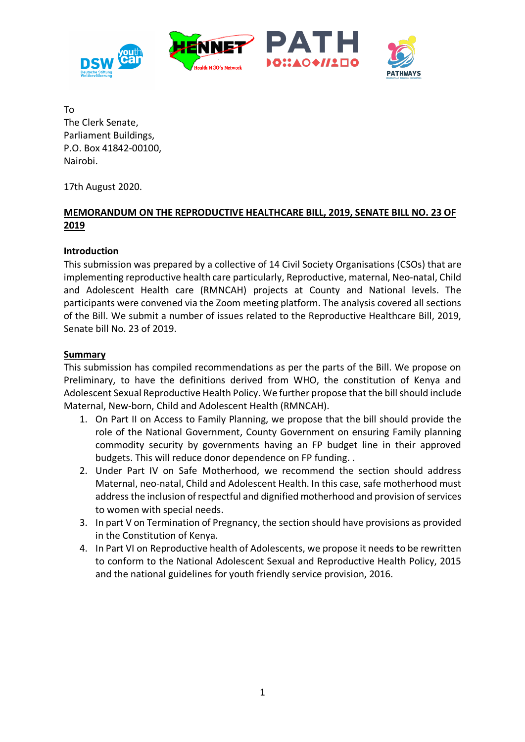

To The Clerk Senate, Parliament Buildings, P.O. Box 41842-00100, Nairobi.

17th August 2020.

# **MEMORANDUM ON THE REPRODUCTIVE HEALTHCARE BILL, 2019, SENATE BILL NO. 23 OF 2019**

## **Introduction**

This submission was prepared by a collective of 14 Civil Society Organisations (CSOs) that are implementing reproductive health care particularly, Reproductive, maternal, Neo-natal, Child and Adolescent Health care (RMNCAH) projects at County and National levels. The participants were convened via the Zoom meeting platform. The analysis covered all sections of the Bill. We submit a number of issues related to the Reproductive Healthcare Bill, 2019, Senate bill No. 23 of 2019.

# **Summary**

This submission has compiled recommendations as per the parts of the Bill. We propose on Preliminary, to have the definitions derived from WHO, the constitution of Kenya and Adolescent Sexual Reproductive Health Policy. We further propose that the bill should include Maternal, New-born, Child and Adolescent Health (RMNCAH).

- 1. On Part II on Access to Family Planning, we propose that the bill should provide the role of the National Government, County Government on ensuring Family planning commodity security by governments having an FP budget line in their approved budgets. This will reduce donor dependence on FP funding. .
- 2. Under Part IV on Safe Motherhood, we recommend the section should address Maternal, neo-natal, Child and Adolescent Health. In this case, safe motherhood must address the inclusion of respectful and dignified motherhood and provision of services to women with special needs.
- 3. In part V on Termination of Pregnancy, the section should have provisions as provided in the Constitution of Kenya.
- 4. In Part VI on Reproductive health of Adolescents, we propose it needs **t**o be rewritten to conform to the National Adolescent Sexual and Reproductive Health Policy, 2015 and the national guidelines for youth friendly service provision, 2016.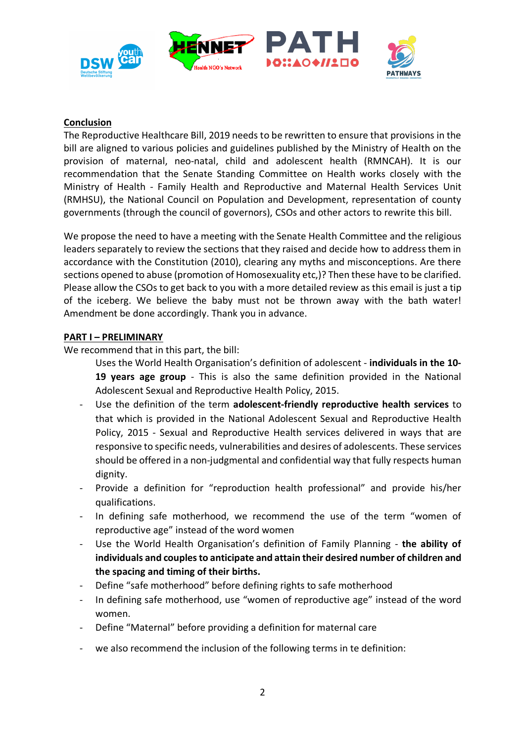

### **Conclusion**

The Reproductive Healthcare Bill, 2019 needs to be rewritten to ensure that provisions in the bill are aligned to various policies and guidelines published by the Ministry of Health on the provision of maternal, neo-natal, child and adolescent health (RMNCAH). It is our recommendation that the Senate Standing Committee on Health works closely with the Ministry of Health - Family Health and Reproductive and Maternal Health Services Unit (RMHSU), the National Council on Population and Development, representation of county governments (through the council of governors), CSOs and other actors to rewrite this bill.

We propose the need to have a meeting with the Senate Health Committee and the religious leaders separately to review the sections that they raised and decide how to address them in accordance with the Constitution (2010), clearing any myths and misconceptions. Are there sections opened to abuse (promotion of Homosexuality etc,)? Then these have to be clarified. Please allow the CSOs to get back to you with a more detailed review as this email is just a tip of the iceberg. We believe the baby must not be thrown away with the bath water! Amendment be done accordingly. Thank you in advance.

### **PART I – PRELIMINARY**

We recommend that in this part, the bill:

- Uses the World Health Organisation's definition of adolescent **individuals in the 10- 19 years age group** - This is also the same definition provided in the National Adolescent Sexual and Reproductive Health Policy, 2015.
- Use the definition of the term **adolescent-friendly reproductive health services** to that which is provided in the National Adolescent Sexual and Reproductive Health Policy, 2015 - Sexual and Reproductive Health services delivered in ways that are responsive to specific needs, vulnerabilities and desires of adolescents. These services should be offered in a non-judgmental and confidential way that fully respects human dignity.
- Provide a definition for "reproduction health professional" and provide his/her qualifications.
- In defining safe motherhood, we recommend the use of the term "women of reproductive age" instead of the word women
- Use the World Health Organisation's definition of Family Planning the ability of **individuals and couples to anticipate and attain their desired number of children and the spacing and timing of their births.**
- Define "safe motherhood" before defining rights to safe motherhood
- In defining safe motherhood, use "women of reproductive age" instead of the word women.
- Define "Maternal" before providing a definition for maternal care
- we also recommend the inclusion of the following terms in te definition: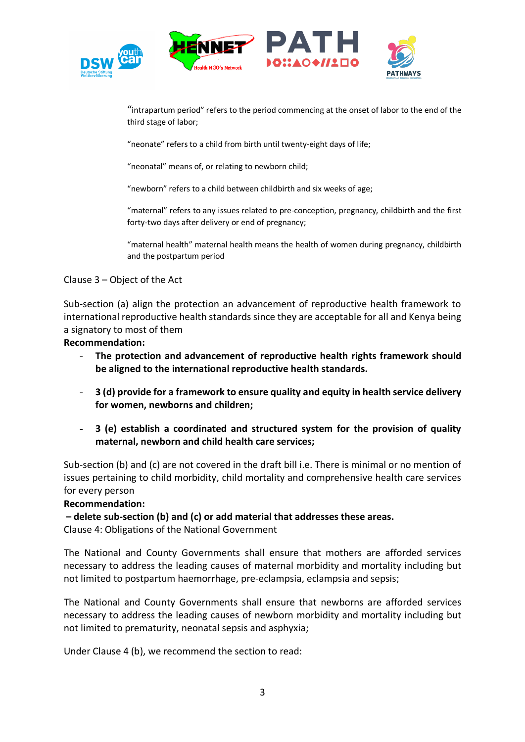



"intrapartum period" refers to the period commencing at the onset of labor to the end of the third stage of labor;

"neonate" refers to a child from birth until twenty-eight days of life;

"neonatal" means of, or relating to newborn child;

"newborn" refers to a child between childbirth and six weeks of age;

"maternal" refers to any issues related to pre-conception, pregnancy, childbirth and the first forty-two days after delivery or end of pregnancy;

"maternal health" maternal health means the health of women during pregnancy, childbirth and the postpartum period

### Clause 3 – Object of the Act

Sub-section (a) align the protection an advancement of reproductive health framework to international reproductive health standards since they are acceptable for all and Kenya being a signatory to most of them

### **Recommendation:**

- **The protection and advancement of reproductive health rights framework should be aligned to the international reproductive health standards.**
- **3 (d) provide for a framework to ensure quality and equity in health service delivery for women, newborns and children;**
- **3 (e) establish a coordinated and structured system for the provision of quality maternal, newborn and child health care services;**

Sub-section (b) and (c) are not covered in the draft bill i.e. There is minimal or no mention of issues pertaining to child morbidity, child mortality and comprehensive health care services for every person

### **Recommendation:**

**– delete sub-section (b) and (c) or add material that addresses these areas.** 

Clause 4: Obligations of the National Government

The National and County Governments shall ensure that mothers are afforded services necessary to address the leading causes of maternal morbidity and mortality including but not limited to postpartum haemorrhage, pre-eclampsia, eclampsia and sepsis;

The National and County Governments shall ensure that newborns are afforded services necessary to address the leading causes of newborn morbidity and mortality including but not limited to prematurity, neonatal sepsis and asphyxia;

Under Clause 4 (b), we recommend the section to read: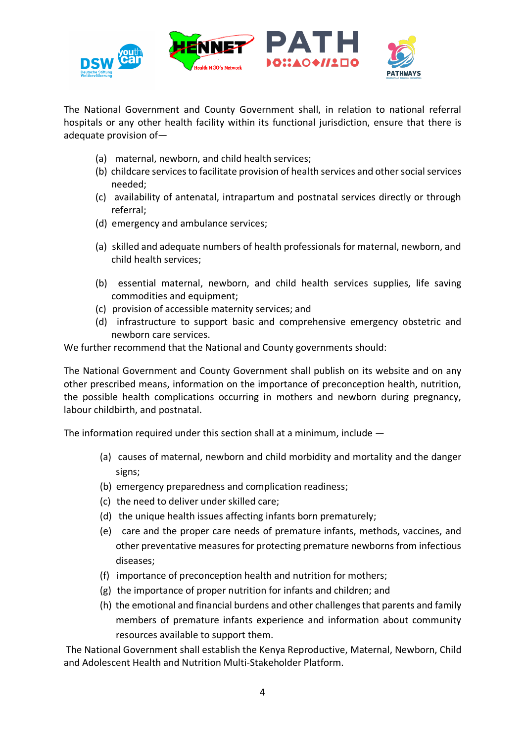

The National Government and County Government shall, in relation to national referral hospitals or any other health facility within its functional jurisdiction, ensure that there is adequate provision of—

- (a) maternal, newborn, and child health services;
- (b) childcare services to facilitate provision of health services and other social services needed;
- (c) availability of antenatal, intrapartum and postnatal services directly or through referral;
- (d) emergency and ambulance services;
- (a) skilled and adequate numbers of health professionals for maternal, newborn, and child health services;
- (b) essential maternal, newborn, and child health services supplies, life saving commodities and equipment;
- (c) provision of accessible maternity services; and
- (d) infrastructure to support basic and comprehensive emergency obstetric and newborn care services.

We further recommend that the National and County governments should:

The National Government and County Government shall publish on its website and on any other prescribed means, information on the importance of preconception health, nutrition, the possible health complications occurring in mothers and newborn during pregnancy, labour childbirth, and postnatal.

The information required under this section shall at a minimum, include —

- (a) causes of maternal, newborn and child morbidity and mortality and the danger signs;
- (b) emergency preparedness and complication readiness;
- (c) the need to deliver under skilled care;
- (d) the unique health issues affecting infants born prematurely:
- (e) care and the proper care needs of premature infants, methods, vaccines, and other preventative measures for protecting premature newborns from infectious diseases;
- (f) importance of preconception health and nutrition for mothers;
- (g) the importance of proper nutrition for infants and children; and
- (h) the emotional and financial burdens and other challenges that parents and family members of premature infants experience and information about community resources available to support them.

The National Government shall establish the Kenya Reproductive, Maternal, Newborn, Child and Adolescent Health and Nutrition Multi-Stakeholder Platform.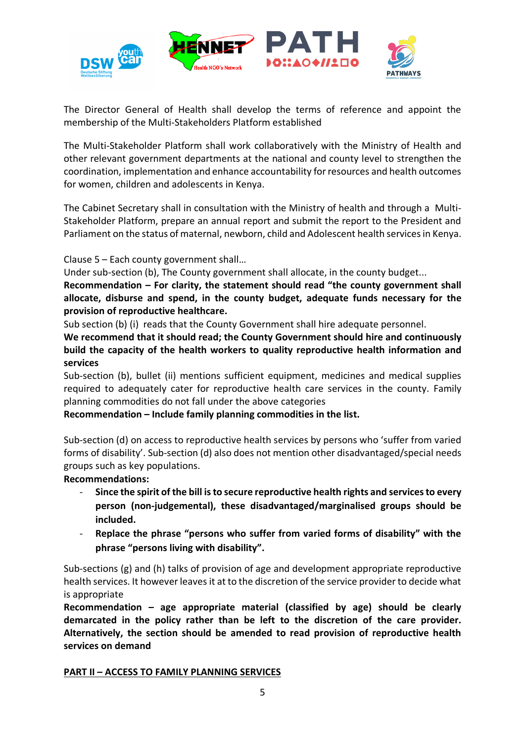

The Director General of Health shall develop the terms of reference and appoint the membership of the Multi-Stakeholders Platform established

The Multi-Stakeholder Platform shall work collaboratively with the Ministry of Health and other relevant government departments at the national and county level to strengthen the coordination, implementation and enhance accountability for resources and health outcomes for women, children and adolescents in Kenya.

The Cabinet Secretary shall in consultation with the Ministry of health and through a Multi-Stakeholder Platform, prepare an annual report and submit the report to the President and Parliament on the status of maternal, newborn, child and Adolescent health services in Kenya.

Clause 5 – Each county government shall…

Under sub-section (b), The County government shall allocate, in the county budget...

**Recommendation – For clarity, the statement should read "the county government shall allocate, disburse and spend, in the county budget, adequate funds necessary for the provision of reproductive healthcare.** 

Sub section (b) (i) reads that the County Government shall hire adequate personnel.

**We recommend that it should read; the County Government should hire and continuously build the capacity of the health workers to quality reproductive health information and services**

Sub-section (b), bullet (ii) mentions sufficient equipment, medicines and medical supplies required to adequately cater for reproductive health care services in the county. Family planning commodities do not fall under the above categories

**Recommendation – Include family planning commodities in the list.** 

Sub-section (d) on access to reproductive health services by persons who 'suffer from varied forms of disability'. Sub-section (d) also does not mention other disadvantaged/special needs groups such as key populations.

**Recommendations:**

- **Since the spirit of the bill is to secure reproductive health rights and services to every person (non-judgemental), these disadvantaged/marginalised groups should be included.**
- **Replace the phrase "persons who suffer from varied forms of disability" with the phrase "persons living with disability".**

Sub-sections (g) and (h) talks of provision of age and development appropriate reproductive health services. It however leaves it at to the discretion of the service provider to decide what is appropriate

**Recommendation – age appropriate material (classified by age) should be clearly demarcated in the policy rather than be left to the discretion of the care provider. Alternatively, the section should be amended to read provision of reproductive health services on demand**

## **PART II – ACCESS TO FAMILY PLANNING SERVICES**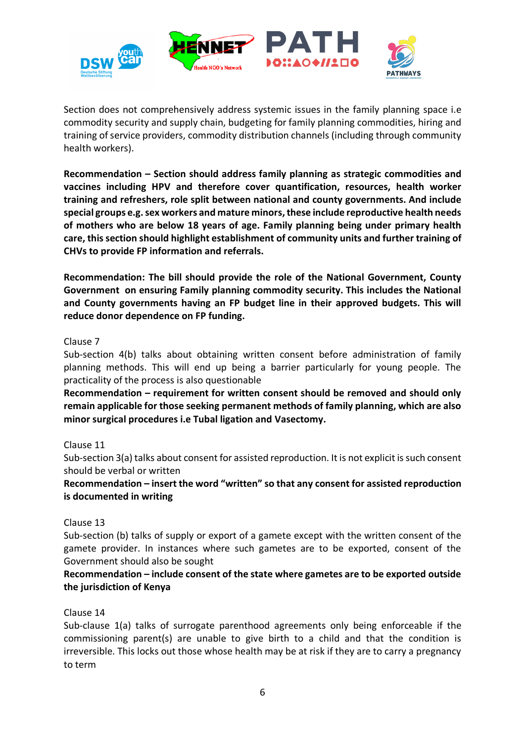

Section does not comprehensively address systemic issues in the family planning space i.e commodity security and supply chain, budgeting for family planning commodities, hiring and training of service providers, commodity distribution channels (including through community health workers).

**Recommendation – Section should address family planning as strategic commodities and vaccines including HPV and therefore cover quantification, resources, health worker training and refreshers, role split between national and county governments. And include special groups e.g. sex workers and mature minors, these include reproductive health needs of mothers who are below 18 years of age. Family planning being under primary health care, this section should highlight establishment of community units and further training of CHVs to provide FP information and referrals.**

**Recommendation: The bill should provide the role of the National Government, County Government on ensuring Family planning commodity security. This includes the National and County governments having an FP budget line in their approved budgets. This will reduce donor dependence on FP funding.** 

## Clause 7

Sub-section 4(b) talks about obtaining written consent before administration of family planning methods. This will end up being a barrier particularly for young people. The practicality of the process is also questionable

**Recommendation – requirement for written consent should be removed and should only remain applicable for those seeking permanent methods of family planning, which are also minor surgical procedures i.e Tubal ligation and Vasectomy.** 

## Clause 11

Sub-section 3(a) talks about consent for assisted reproduction. It is not explicit is such consent should be verbal or written

**Recommendation – insert the word "written" so that any consent for assisted reproduction is documented in writing**

Clause 13

Sub-section (b) talks of supply or export of a gamete except with the written consent of the gamete provider. In instances where such gametes are to be exported, consent of the Government should also be sought

## **Recommendation – include consent of the state where gametes are to be exported outside the jurisdiction of Kenya**

### Clause 14

Sub-clause 1(a) talks of surrogate parenthood agreements only being enforceable if the commissioning parent(s) are unable to give birth to a child and that the condition is irreversible. This locks out those whose health may be at risk if they are to carry a pregnancy to term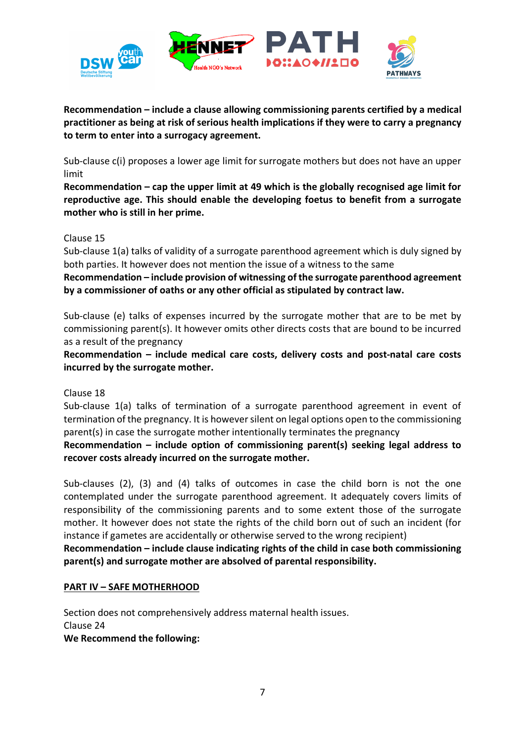

**Recommendation – include a clause allowing commissioning parents certified by a medical practitioner as being at risk of serious health implications if they were to carry a pregnancy to term to enter into a surrogacy agreement.** 

Sub-clause c(i) proposes a lower age limit for surrogate mothers but does not have an upper limit

**Recommendation – cap the upper limit at 49 which is the globally recognised age limit for reproductive age. This should enable the developing foetus to benefit from a surrogate mother who is still in her prime.** 

### Clause 15

Sub-clause 1(a) talks of validity of a surrogate parenthood agreement which is duly signed by both parties. It however does not mention the issue of a witness to the same

**Recommendation – include provision of witnessing of the surrogate parenthood agreement by a commissioner of oaths or any other official as stipulated by contract law.** 

Sub-clause (e) talks of expenses incurred by the surrogate mother that are to be met by commissioning parent(s). It however omits other directs costs that are bound to be incurred as a result of the pregnancy

**Recommendation – include medical care costs, delivery costs and post-natal care costs incurred by the surrogate mother.** 

Clause 18

Sub-clause 1(a) talks of termination of a surrogate parenthood agreement in event of termination of the pregnancy. It is however silent on legal options open to the commissioning parent(s) in case the surrogate mother intentionally terminates the pregnancy

**Recommendation – include option of commissioning parent(s) seeking legal address to recover costs already incurred on the surrogate mother.** 

Sub-clauses (2), (3) and (4) talks of outcomes in case the child born is not the one contemplated under the surrogate parenthood agreement. It adequately covers limits of responsibility of the commissioning parents and to some extent those of the surrogate mother. It however does not state the rights of the child born out of such an incident (for instance if gametes are accidentally or otherwise served to the wrong recipient)

**Recommendation – include clause indicating rights of the child in case both commissioning parent(s) and surrogate mother are absolved of parental responsibility.** 

### **PART IV – SAFE MOTHERHOOD**

Section does not comprehensively address maternal health issues. Clause 24 **We Recommend the following:**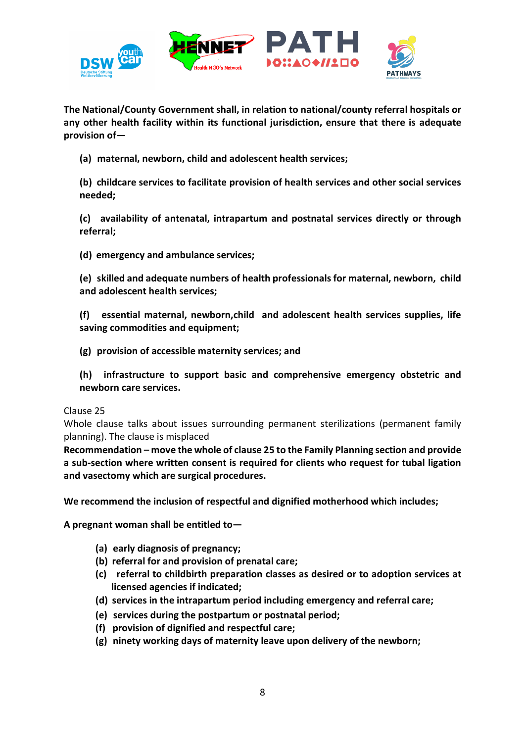

**The National/County Government shall, in relation to national/county referral hospitals or any other health facility within its functional jurisdiction, ensure that there is adequate provision of—**

**(a) maternal, newborn, child and adolescent health services;**

**(b) childcare services to facilitate provision of health services and other social services needed;**

**(c) availability of antenatal, intrapartum and postnatal services directly or through referral;**

**(d) emergency and ambulance services;**

**(e) skilled and adequate numbers of health professionals for maternal, newborn, child and adolescent health services;**

**(f) essential maternal, newborn,child and adolescent health services supplies, life saving commodities and equipment;**

- **(g) provision of accessible maternity services; and**
- **(h) infrastructure to support basic and comprehensive emergency obstetric and newborn care services.**

Clause 25

Whole clause talks about issues surrounding permanent sterilizations (permanent family planning). The clause is misplaced

**Recommendation – move the whole of clause 25 to the Family Planning section and provide a sub-section where written consent is required for clients who request for tubal ligation and vasectomy which are surgical procedures.** 

**We recommend the inclusion of respectful and dignified motherhood which includes;** 

**A pregnant woman shall be entitled to—**

- **(a) early diagnosis of pregnancy;**
- **(b) referral for and provision of prenatal care;**
- **(c) referral to childbirth preparation classes as desired or to adoption services at licensed agencies if indicated;**
- **(d) services in the intrapartum period including emergency and referral care;**
- **(e) services during the postpartum or postnatal period;**
- **(f) provision of dignified and respectful care;**
- **(g) ninety working days of maternity leave upon delivery of the newborn;**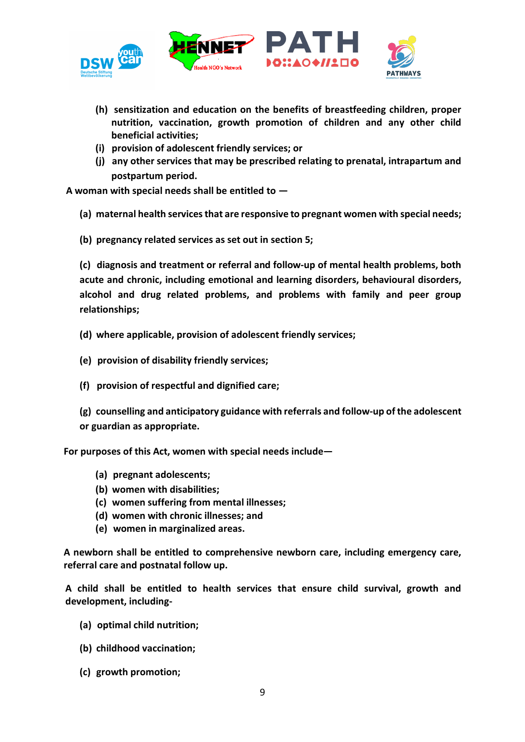

- **(h) sensitization and education on the benefits of breastfeeding children, proper nutrition, vaccination, growth promotion of children and any other child beneficial activities;**
- **(i) provision of adolescent friendly services; or**
- **(j) any other services that may be prescribed relating to prenatal, intrapartum and postpartum period.**

**A woman with special needs shall be entitled to —**

- **(a) maternal health services that are responsive to pregnant women with special needs;**
- **(b) pregnancy related services as set out in section 5;**

**(c) diagnosis and treatment or referral and follow-up of mental health problems, both acute and chronic, including emotional and learning disorders, behavioural disorders, alcohol and drug related problems, and problems with family and peer group relationships;**

- **(d) where applicable, provision of adolescent friendly services;**
- **(e) provision of disability friendly services;**
- **(f) provision of respectful and dignified care;**

**(g) counselling and anticipatory guidance with referrals and follow-up of the adolescent or guardian as appropriate.**

**For purposes of this Act, women with special needs include—**

- **(a) pregnant adolescents;**
- **(b) women with disabilities;**
- **(c) women suffering from mental illnesses;**
- **(d) women with chronic illnesses; and**
- **(e) women in marginalized areas.**

**A newborn shall be entitled to comprehensive newborn care, including emergency care, referral care and postnatal follow up.**

**A child shall be entitled to health services that ensure child survival, growth and development, including-**

- **(a) optimal child nutrition;**
- **(b) childhood vaccination;**
- **(c) growth promotion;**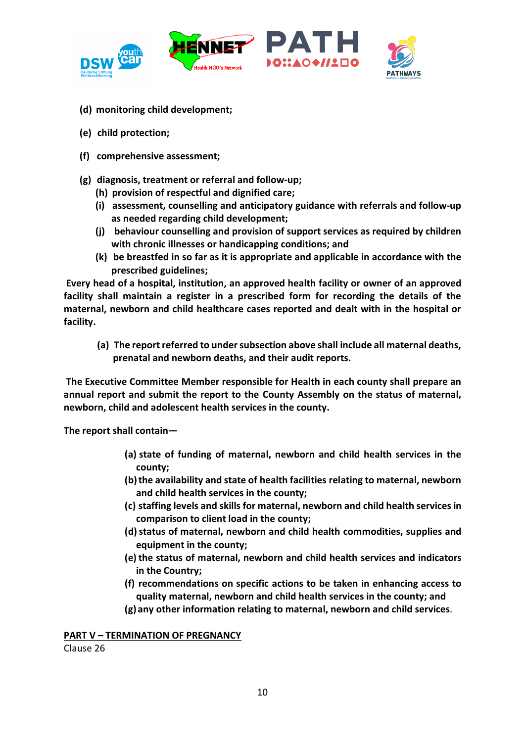

- **(d) monitoring child development;**
- **(e) child protection;**
- **(f) comprehensive assessment;**
- **(g) diagnosis, treatment or referral and follow-up;**
	- **(h) provision of respectful and dignified care;**
	- **(i) assessment, counselling and anticipatory guidance with referrals and follow-up as needed regarding child development;**
	- **(j) behaviour counselling and provision of support services as required by children with chronic illnesses or handicapping conditions; and**
	- **(k) be breastfed in so far as it is appropriate and applicable in accordance with the prescribed guidelines;**

**Every head of a hospital, institution, an approved health facility or owner of an approved facility shall maintain a register in a prescribed form for recording the details of the maternal, newborn and child healthcare cases reported and dealt with in the hospital or facility.**

**(a) The report referred to under subsection above shall include all maternal deaths, prenatal and newborn deaths, and their audit reports.**

**The Executive Committee Member responsible for Health in each county shall prepare an annual report and submit the report to the County Assembly on the status of maternal, newborn, child and adolescent health services in the county.**

**The report shall contain—**

- **(a) state of funding of maternal, newborn and child health services in the county;**
- **(b)the availability and state of health facilities relating to maternal, newborn and child health services in the county;**
- **(c) staffing levels and skills for maternal, newborn and child health services in comparison to client load in the county;**
- **(d)status of maternal, newborn and child health commodities, supplies and equipment in the county;**
- **(e)the status of maternal, newborn and child health services and indicators in the Country;**
- **(f) recommendations on specific actions to be taken in enhancing access to quality maternal, newborn and child health services in the county; and**
- **(g) any other information relating to maternal, newborn and child services**.

**PART V – TERMINATION OF PREGNANCY**

Clause 26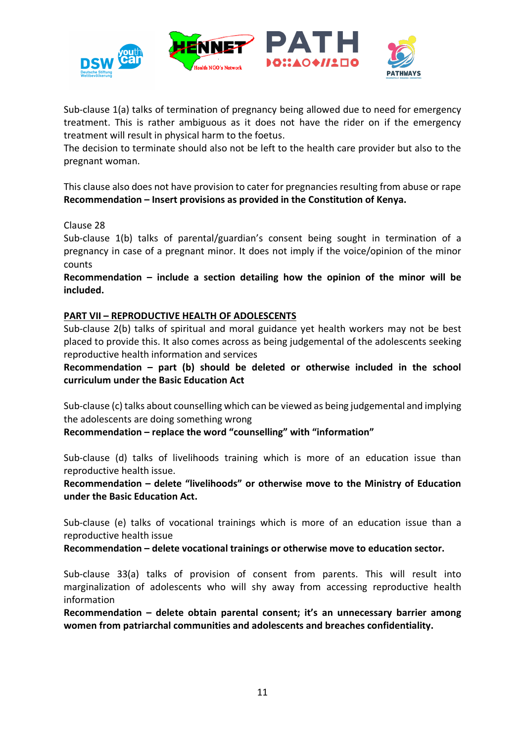

Sub-clause 1(a) talks of termination of pregnancy being allowed due to need for emergency treatment. This is rather ambiguous as it does not have the rider on if the emergency treatment will result in physical harm to the foetus.

The decision to terminate should also not be left to the health care provider but also to the pregnant woman.

This clause also does not have provision to cater for pregnancies resulting from abuse or rape **Recommendation – Insert provisions as provided in the Constitution of Kenya.** 

### Clause 28

Sub-clause 1(b) talks of parental/guardian's consent being sought in termination of a pregnancy in case of a pregnant minor. It does not imply if the voice/opinion of the minor counts

**Recommendation – include a section detailing how the opinion of the minor will be included.** 

### **PART VII – REPRODUCTIVE HEALTH OF ADOLESCENTS**

Sub-clause 2(b) talks of spiritual and moral guidance yet health workers may not be best placed to provide this. It also comes across as being judgemental of the adolescents seeking reproductive health information and services

**Recommendation – part (b) should be deleted or otherwise included in the school curriculum under the Basic Education Act**

Sub-clause (c) talks about counselling which can be viewed as being judgemental and implying the adolescents are doing something wrong

**Recommendation – replace the word "counselling" with "information"**

Sub-clause (d) talks of livelihoods training which is more of an education issue than reproductive health issue.

**Recommendation – delete "livelihoods" or otherwise move to the Ministry of Education under the Basic Education Act.** 

Sub-clause (e) talks of vocational trainings which is more of an education issue than a reproductive health issue

**Recommendation – delete vocational trainings or otherwise move to education sector.** 

Sub-clause 33(a) talks of provision of consent from parents. This will result into marginalization of adolescents who will shy away from accessing reproductive health information

**Recommendation – delete obtain parental consent; it's an unnecessary barrier among women from patriarchal communities and adolescents and breaches confidentiality.**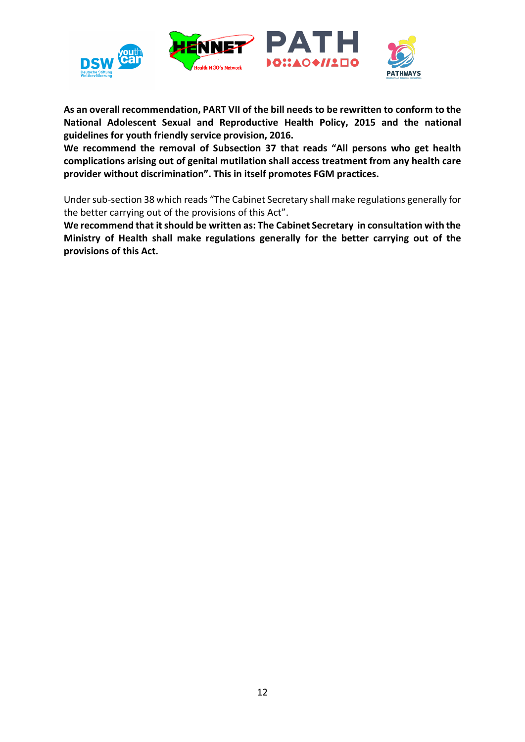

**As an overall recommendation, PART VII of the bill needs to be rewritten to conform to the National Adolescent Sexual and Reproductive Health Policy, 2015 and the national guidelines for youth friendly service provision, 2016.**

**We recommend the removal of Subsection 37 that reads "All persons who get health complications arising out of genital mutilation shall access treatment from any health care provider without discrimination". This in itself promotes FGM practices.** 

Under sub-section 38 which reads "The Cabinet Secretary shall make regulations generally for the better carrying out of the provisions of this Act".

**We recommend that it should be written as: The Cabinet Secretary in consultation with the Ministry of Health shall make regulations generally for the better carrying out of the provisions of this Act.**